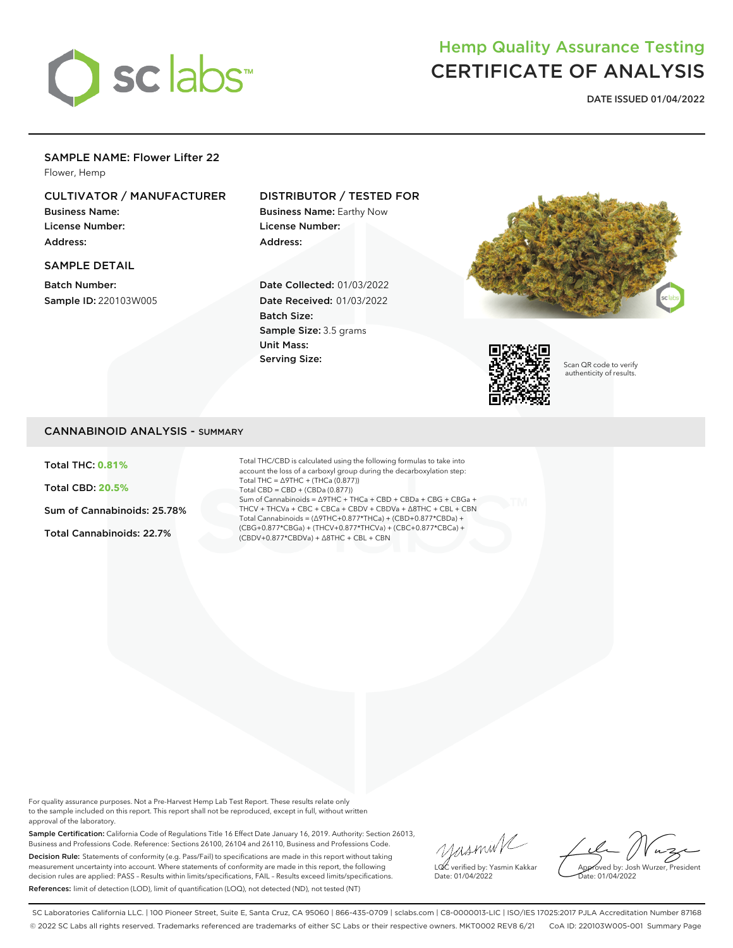

# Hemp Quality Assurance Testing CERTIFICATE OF ANALYSIS

**DATE ISSUED 01/04/2022**

### SAMPLE NAME: Flower Lifter 22

Flower, Hemp

## CULTIVATOR / MANUFACTURER

Business Name: License Number: Address:

### SAMPLE DETAIL

Batch Number: Sample ID: 220103W005

### DISTRIBUTOR / TESTED FOR

Business Name: Earthy Now License Number: Address:

Date Collected: 01/03/2022 Date Received: 01/03/2022 Batch Size: Sample Size: 3.5 grams Unit Mass: Serving Size:





Scan QR code to verify authenticity of results.

### CANNABINOID ANALYSIS - SUMMARY

Total THC: **0.81%**

Total CBD: **20.5%**

Sum of Cannabinoids: 25.78%

Total Cannabinoids: 22.7%

Total THC/CBD is calculated using the following formulas to take into account the loss of a carboxyl group during the decarboxylation step: Total THC = ∆9THC + (THCa (0.877)) Total CBD = CBD + (CBDa (0.877)) Sum of Cannabinoids = ∆9THC + THCa + CBD + CBDa + CBG + CBGa + THCV + THCVa + CBC + CBCa + CBDV + CBDVa + ∆8THC + CBL + CBN Total Cannabinoids = (∆9THC+0.877\*THCa) + (CBD+0.877\*CBDa) + (CBG+0.877\*CBGa) + (THCV+0.877\*THCVa) + (CBC+0.877\*CBCa) + (CBDV+0.877\*CBDVa) + ∆8THC + CBL + CBN

For quality assurance purposes. Not a Pre-Harvest Hemp Lab Test Report. These results relate only to the sample included on this report. This report shall not be reproduced, except in full, without written approval of the laboratory.

Sample Certification: California Code of Regulations Title 16 Effect Date January 16, 2019. Authority: Section 26013, Business and Professions Code. Reference: Sections 26100, 26104 and 26110, Business and Professions Code. Decision Rule: Statements of conformity (e.g. Pass/Fail) to specifications are made in this report without taking measurement uncertainty into account. Where statements of conformity are made in this report, the following decision rules are applied: PASS – Results within limits/specifications, FAIL – Results exceed limits/specifications. References: limit of detection (LOD), limit of quantification (LOQ), not detected (ND), not tested (NT)

yusmink LQC verified by: Yasmin Kakkar Date: 01/04/2022

Approved by: Josh Wurzer, President Date: 01/04/2022

SC Laboratories California LLC. | 100 Pioneer Street, Suite E, Santa Cruz, CA 95060 | 866-435-0709 | sclabs.com | C8-0000013-LIC | ISO/IES 17025:2017 PJLA Accreditation Number 87168 © 2022 SC Labs all rights reserved. Trademarks referenced are trademarks of either SC Labs or their respective owners. MKT0002 REV8 6/21 CoA ID: 220103W005-001 Summary Page